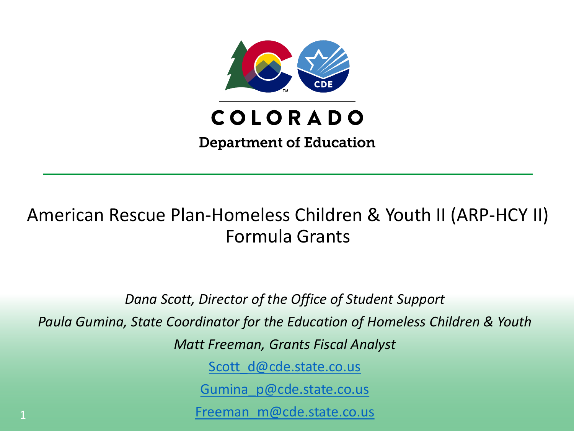

#### American Rescue Plan-Homeless Children & Youth II (ARP-HCY II) Formula Grants

*Dana Scott, Director of the Office of Student Support* 

*Paula Gumina, State Coordinator for the Education of Homeless Children & Youth*

*Matt Freeman, Grants Fiscal Analyst*

[Scott\\_d@cde.state.co.us](mailto:Scott_d@cde.state.co.us)

[Gumina\\_p@cde.state.co.us](mailto:Gumina_p@cde.state.co.us)

[Freeman\\_m@cde.state.co.us](mailto:Freeman_m@cde.state.co.us)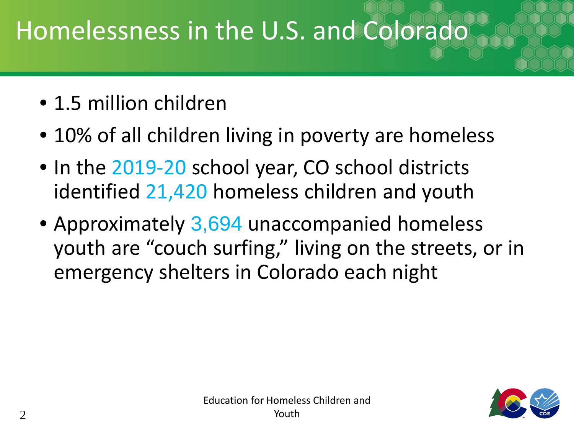# Homelessness in the U.S. and Colorado

- 1.5 million children
- 10% of all children living in poverty are homeless
- In the 2019-20 school year, CO school districts identified 21,420 homeless children and youth
- Approximately 3,694 unaccompanied homeless youth are "couch surfing," living on the streets, or in emergency shelters in Colorado each night

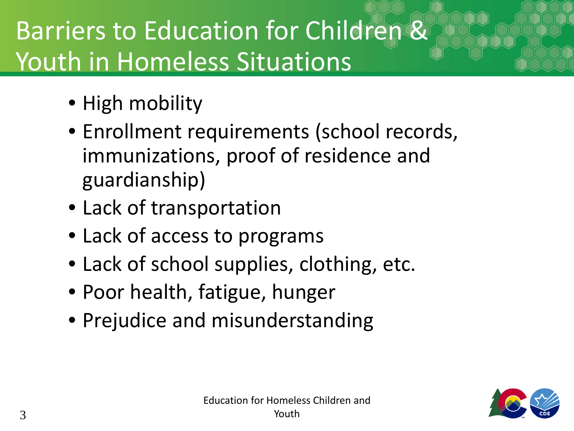# Barriers to Education for Children & Youth in Homeless Situations

- High mobility
- Enrollment requirements (school records, immunizations, proof of residence and guardianship)
- Lack of transportation
- Lack of access to programs
- Lack of school supplies, clothing, etc.
- Poor health, fatigue, hunger
- Prejudice and misunderstanding

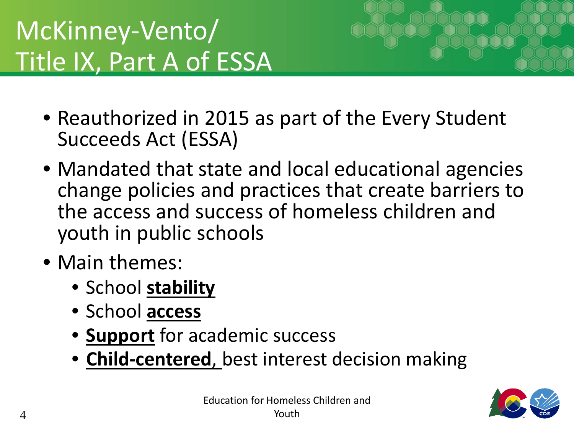# McKinney-Vento/ Title IX, Part A of ESSA



- Reauthorized in 2015 as part of the Every Student Succeeds Act (ESSA)
- Mandated that state and local educational agencies change policies and practices that create barriers to the access and success of homeless children and youth in public schools
- Main themes:
	- School **stability**
	- School **access**
	- **Support** for academic success
	- **Child-centered**, best interest decision making

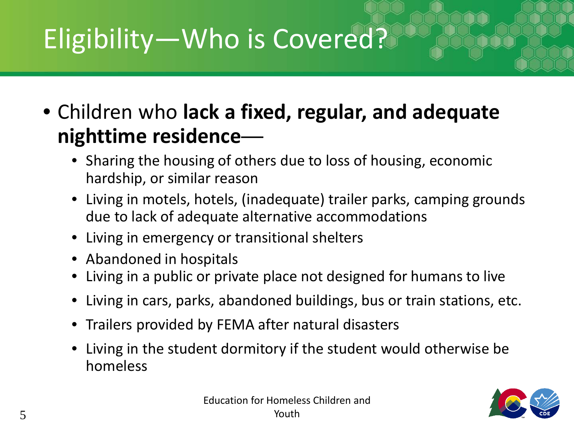# Eligibility—Who is Covered?

• Children who **lack a fixed, regular, and adequate nighttime residence**—

- Sharing the housing of others due to loss of housing, economic hardship, or similar reason
- Living in motels, hotels, (inadequate) trailer parks, camping grounds due to lack of adequate alternative accommodations
- Living in emergency or transitional shelters
- Abandoned in hospitals
- Living in a public or private place not designed for humans to live
- Living in cars, parks, abandoned buildings, bus or train stations, etc.
- Trailers provided by FEMA after natural disasters
- Living in the student dormitory if the student would otherwise be homeless

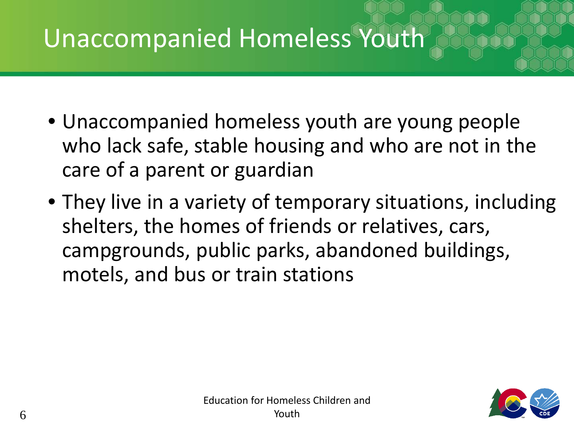### Unaccompanied Homeless Youth

- Unaccompanied homeless youth are young people who lack safe, stable housing and who are not in the care of a parent or guardian
- They live in a variety of temporary situations, including shelters, the homes of friends or relatives, cars, campgrounds, public parks, abandoned buildings, motels, and bus or train stations

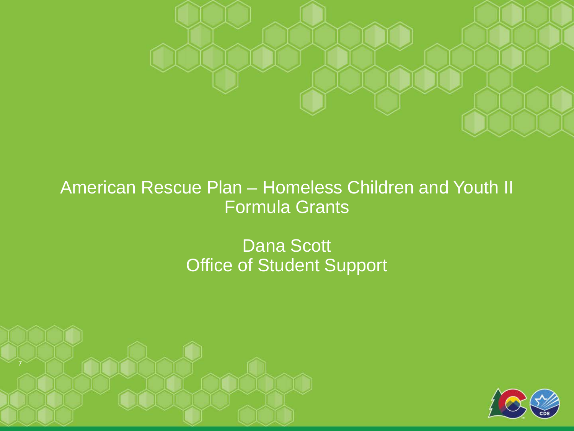

#### American Rescue Plan – Homeless Children and Youth II Formula Grants

#### Dana Scott Office of Student Support



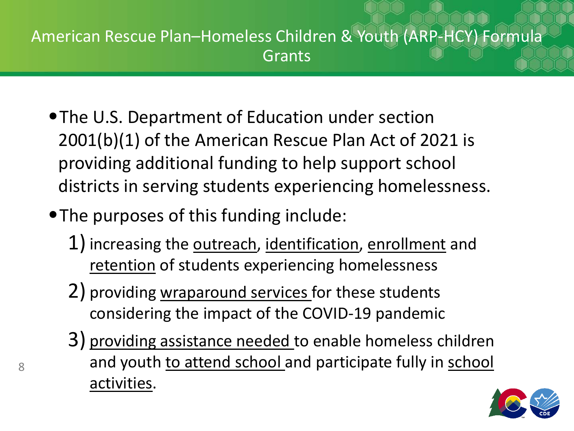#### American Rescue Plan–Homeless Children & Youth (ARP-HCY) Formula Grants

- •The U.S. Department of Education under section 2001(b)(1) of the American Rescue Plan Act of 2021 is providing additional funding to help support school districts in serving students experiencing homelessness.
- •The purposes of this funding include:
	- 1) increasing the outreach, identification, enrollment and retention of students experiencing homelessness
	- 2) providing wraparound services for these students considering the impact of the COVID-19 pandemic
	- 3) providing assistance needed to enable homeless children and youth to attend school and participate fully in school activities.

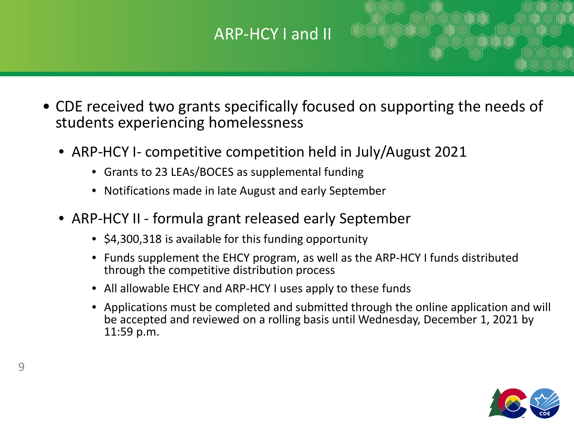#### ARP-HCY I and II

- CDE received two grants specifically focused on supporting the needs of students experiencing homelessness
	- ARP-HCY I- competitive competition held in July/August 2021
		- Grants to 23 LEAs/BOCES as supplemental funding
		- Notifications made in late August and early September
	- ARP-HCY II formula grant released early September
		- \$4,300,318 is available for this funding opportunity
		- Funds supplement the EHCY program, as well as the ARP-HCY I funds distributed through the competitive distribution process
		- All allowable EHCY and ARP-HCY I uses apply to these funds
		- Applications must be completed and submitted through the online application and will be accepted and reviewed on a rolling basis until Wednesday, December 1, 2021 by 11:59 p.m.

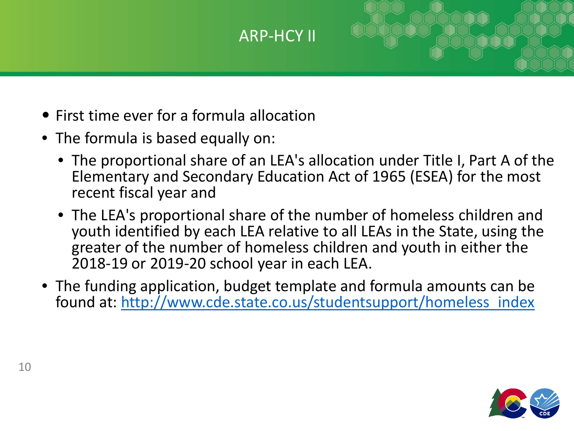#### ARP-HCY II

- First time ever for a formula allocation
- The formula is based equally on:
	- The proportional share of an LEA's allocation under Title I, Part A of the Elementary and Secondary Education Act of 1965 (ESEA) for the most recent fiscal year and
	- The LEA's proportional share of the number of homeless children and youth identified by each LEA relative to all LEAs in the State, using the greater of the number of homeless children and youth in either the 2018-19 or 2019-20 school year in each LEA.
- The funding application, budget template and formula amounts can be found at: [http://www.cde.state.co.us/studentsupport/homeless\\_index](http://www.cde.state.co.us/studentsupport/homeless_index)

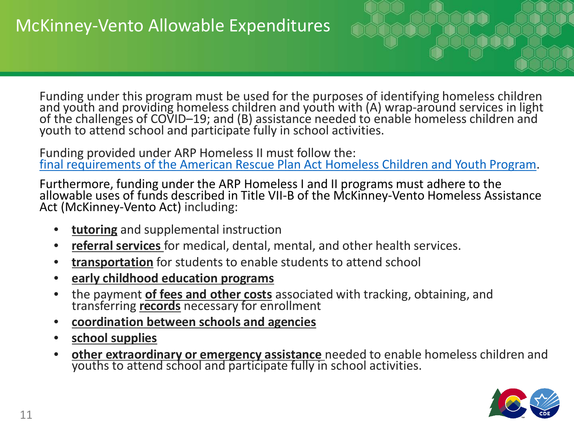Funding under this program must be used for the purposes of identifying homeless children and youth and providing homeless children and youth with (A) wrap-around services in light<br>of the challenges of COVID–19; and (B) assistance needed to enable homeless children and<br>youth to attend school and participate ful

Funding provided under ARP Homeless II must follow the: [final requirements of the American Rescue Plan Act Homeless Children and Youth Program.](https://oese.ed.gov/files/2021/07/EO-12866-OESE-FY-21-NFR-ARP-HCY-with-disclaimer.docx)

Furthermore, funding under the ARP Homeless I and II programs must adhere to the allowable uses of funds described in Title VII-B of the McKinney-Vento Homeless Assistance Act (McKinney-Vento Act) including:

- **tutoring** and supplemental instruction
- **referral services** for medical, dental, mental, and other health services.
- **transportation** for students to enable students to attend school
- **early childhood education programs**
- the payment **of fees and other costs** associated with tracking, obtaining, and transferring **records** necessary for enrollment
- **coordination between schools and agencies**
- **school supplies**
- **other extraordinary or emergency assistance** needed to enable homeless children and youths to attend school and participate fully in school activities.

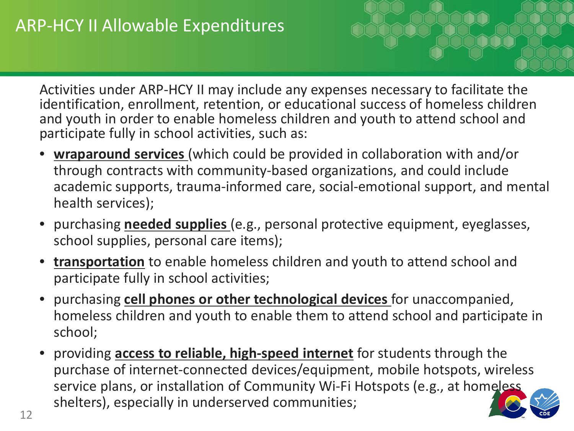Activities under ARP-HCY II may include any expenses necessary to facilitate the identification, enrollment, retention, or educational success of homeless children and youth in order to enable homeless children and youth to attend school and participate fully in school activities, such as:

- **wraparound services** (which could be provided in collaboration with and/or through contracts with community-based organizations, and could include academic supports, trauma-informed care, social-emotional support, and mental health services);
- purchasing **needed supplies** (e.g., personal protective equipment, eyeglasses, school supplies, personal care items);
- **transportation** to enable homeless children and youth to attend school and participate fully in school activities;
- purchasing **cell phones or other technological devices** for unaccompanied, homeless children and youth to enable them to attend school and participate in school;
- providing **access to reliable, high-speed internet** for students through the purchase of internet-connected devices/equipment, mobile hotspots, wireless service plans, or installation of Community Wi-Fi Hotspots (e.g., at homeless shelters), especially in underserved communities;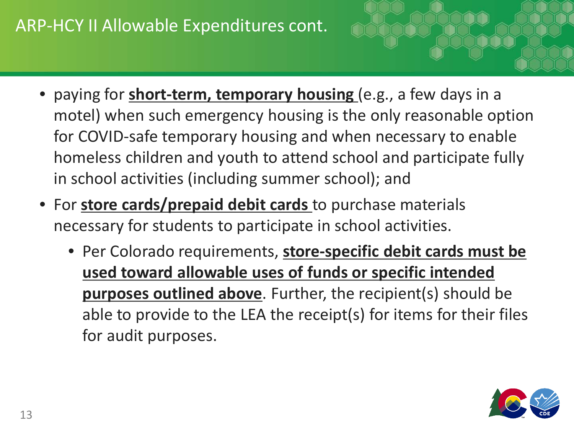#### ARP-HCY II Allowable Expenditures cont.

- paying for **short-term, temporary housing** (e.g., a few days in a motel) when such emergency housing is the only reasonable option for COVID-safe temporary housing and when necessary to enable homeless children and youth to attend school and participate fully in school activities (including summer school); and
- For **store cards/prepaid debit cards** to purchase materials necessary for students to participate in school activities.
	- Per Colorado requirements, **store-specific debit cards must be used toward allowable uses of funds or specific intended purposes outlined above**. Further, the recipient(s) should be able to provide to the LEA the receipt(s) for items for their files for audit purposes.

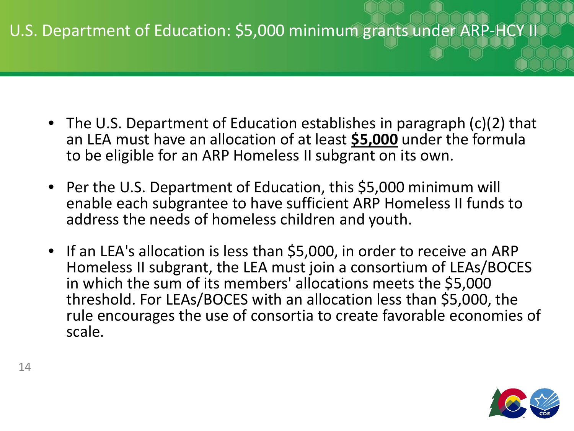#### U.S. Department of Education: \$5,000 minimum grants under ARP-HCY II

- The U.S. Department of Education establishes in paragraph (c)(2) that an LEA must have an allocation of at least **\$5,000** under the formula to be eligible for an ARP Homeless II subgrant on its own.
- Per the U.S. Department of Education, this \$5,000 minimum will enable each subgrantee to have sufficient ARP Homeless II funds to address the needs of homeless children and youth.
- If an LEA's allocation is less than \$5,000, in order to receive an ARP Homeless II subgrant, the LEA must join a consortium of LEAs/BOCES in which the sum of its members' allocations meets the \$5,000 threshold. For LEAs/BOCES with an allocation less than \$5,000, the rule encourages the use of consortia to create favorable economies of scale.

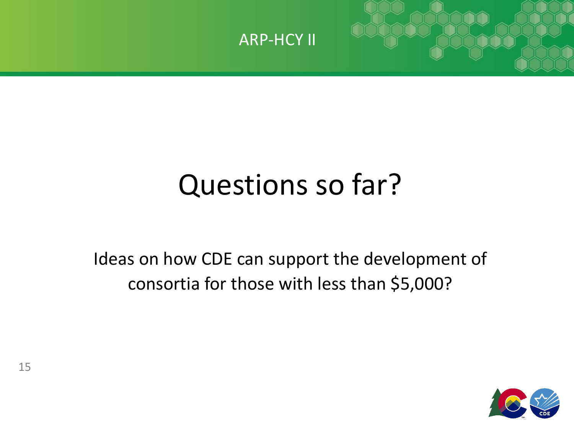

# Questions so far?

Ideas on how CDE can support the development of consortia for those with less than \$5,000?

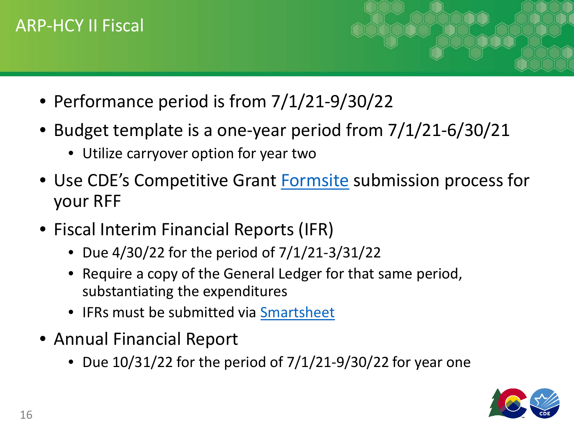#### ARP-HCY II Fiscal

- Performance period is from 7/1/21-9/30/22
- Budget template is a one-year period from 7/1/21-6/30/21
	- Utilize carryover option for year two
- Use CDE's Competitive Grant [Formsite](https://www.cde.state.co.us/cdefisgrant/requestforfundsforms) submission process for your RFF
- Fiscal Interim Financial Reports (IFR)
	- Due 4/30/22 for the period of 7/1/21-3/31/22
	- Require a copy of the General Ledger for that same period, substantiating the expenditures
	- IFRs must be submitted via **[Smartsheet](https://app.smartsheet.com/b/form/702de089fc6b45ac97c31f343c8f745f)**
- Annual Financial Report
	- Due  $10/31/22$  for the period of  $7/1/21-9/30/22$  for year one

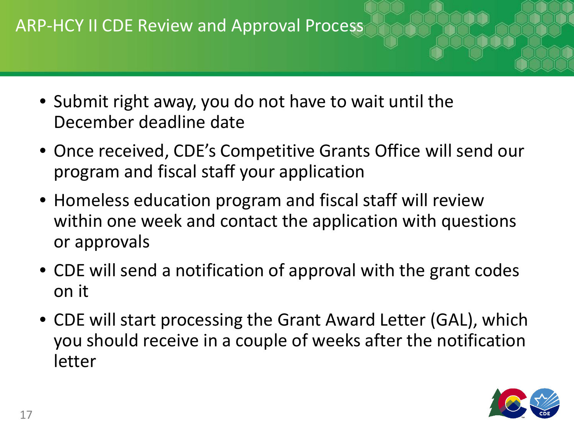- Submit right away, you do not have to wait until the December deadline date
- Once received, CDE's Competitive Grants Office will send our program and fiscal staff your application
- Homeless education program and fiscal staff will review within one week and contact the application with questions or approvals
- CDE will send a notification of approval with the grant codes on it
- CDE will start processing the Grant Award Letter (GAL), which you should receive in a couple of weeks after the notification letter